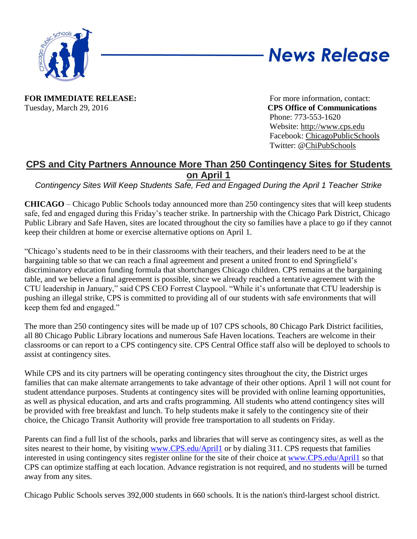

## **News Release**

**FOR IMMEDIATE RELEASE:** For more information, contact: Tuesday, March 29, 2016 **CPS Office of Communications**

Phone: 773-553-1620 Website: [http://www.cps.edu](http://www.cps.edu/) Facebook: [ChicagoPublicSchools](http://www.facebook.com/chicagopublicschools) Twitter: [@ChiPubSchools](http://www.twitter.com/chipubschools)

## **CPS and City Partners Announce More Than 250 Contingency Sites for Students on April 1**

*Contingency Sites Will Keep Students Safe, Fed and Engaged During the April 1 Teacher Strike*

**CHICAGO** – Chicago Public Schools today announced more than 250 contingency sites that will keep students safe, fed and engaged during this Friday's teacher strike. In partnership with the Chicago Park District, Chicago Public Library and Safe Haven, sites are located throughout the city so families have a place to go if they cannot keep their children at home or exercise alternative options on April 1.

"Chicago's students need to be in their classrooms with their teachers, and their leaders need to be at the bargaining table so that we can reach a final agreement and present a united front to end Springfield's discriminatory education funding formula that shortchanges Chicago children. CPS remains at the bargaining table, and we believe a final agreement is possible, since we already reached a tentative agreement with the CTU leadership in January," said CPS CEO Forrest Claypool. "While it's unfortunate that CTU leadership is pushing an illegal strike, CPS is committed to providing all of our students with safe environments that will keep them fed and engaged."

The more than 250 contingency sites will be made up of 107 CPS schools, 80 Chicago Park District facilities, all 80 Chicago Public Library locations and numerous Safe Haven locations. Teachers are welcome in their classrooms or can report to a CPS contingency site. CPS Central Office staff also will be deployed to schools to assist at contingency sites.

While CPS and its city partners will be operating contingency sites throughout the city, the District urges families that can make alternate arrangements to take advantage of their other options. April 1 will not count for student attendance purposes. Students at contingency sites will be provided with online learning opportunities, as well as physical education, and arts and crafts programming. All students who attend contingency sites will be provided with free breakfast and lunch. To help students make it safely to the contingency site of their choice, the Chicago Transit Authority will provide free transportation to all students on Friday.

Parents can find a full list of the schools, parks and libraries that will serve as contingency sites, as well as the sites nearest to their home, by visiting [www.CPS.edu/April1](http://www.cps.edu/April1) or by dialing 311. CPS requests that families interested in using contingency sites register online for the site of their choice at [www.CPS.edu/April1](http://www.cps.edu/April1) so that CPS can optimize staffing at each location. Advance registration is not required, and no students will be turned away from any sites.

Chicago Public Schools serves 392,000 students in 660 schools. It is the nation's third-largest school district.